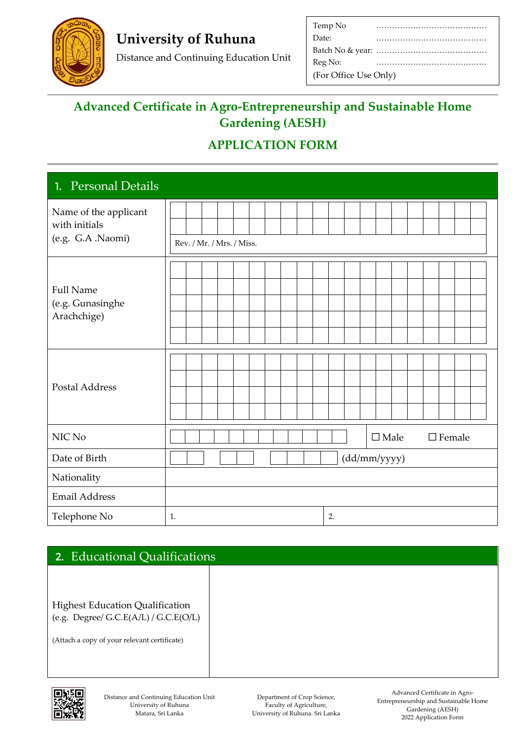

## **University of Ruhuna**

Distance and Continuing Education Unit

| Temp No               |  |
|-----------------------|--|
| Date:                 |  |
|                       |  |
| Reg No:               |  |
| (For Office Use Only) |  |

## **Advanced Certificate in Agro-Entrepreneurship and Sustainable Home Gardening (AESH)**

## **APPLICATION FORM**

| <b>Personal Details</b><br>1.                               |                                    |
|-------------------------------------------------------------|------------------------------------|
| Name of the applicant<br>with initials<br>(e.g. G.A .Naomi) | Rev. / Mr. / Mrs. / Miss.          |
| <b>Full Name</b><br>(e.g. Gunasinghe<br>Arachchige)         |                                    |
| <b>Postal Address</b>                                       |                                    |
| NIC No                                                      | $\square$ Male<br>$\square$ Female |
| Date of Birth                                               | (dd/mm/yyyy)                       |
| Nationality                                                 |                                    |
| <b>Email Address</b>                                        |                                    |
| Telephone No                                                | 2.<br>1.                           |

| 2. Educational Qualifications                                                       |  |  |
|-------------------------------------------------------------------------------------|--|--|
|                                                                                     |  |  |
| <b>Highest Education Qualification</b><br>(e.g. Degree/ $G.C.E(A/L)$ / $G.C.E(O/L)$ |  |  |
| (Attach a copy of your relevant certificate)                                        |  |  |



Department of Crop Science, Faculty of Agriculture, University of Ruhuna. Sri Lanka

Advanced Certificate in Agro-Entrepreneurship and Sustainable Home Gardening (AESH) 2022 Application Form